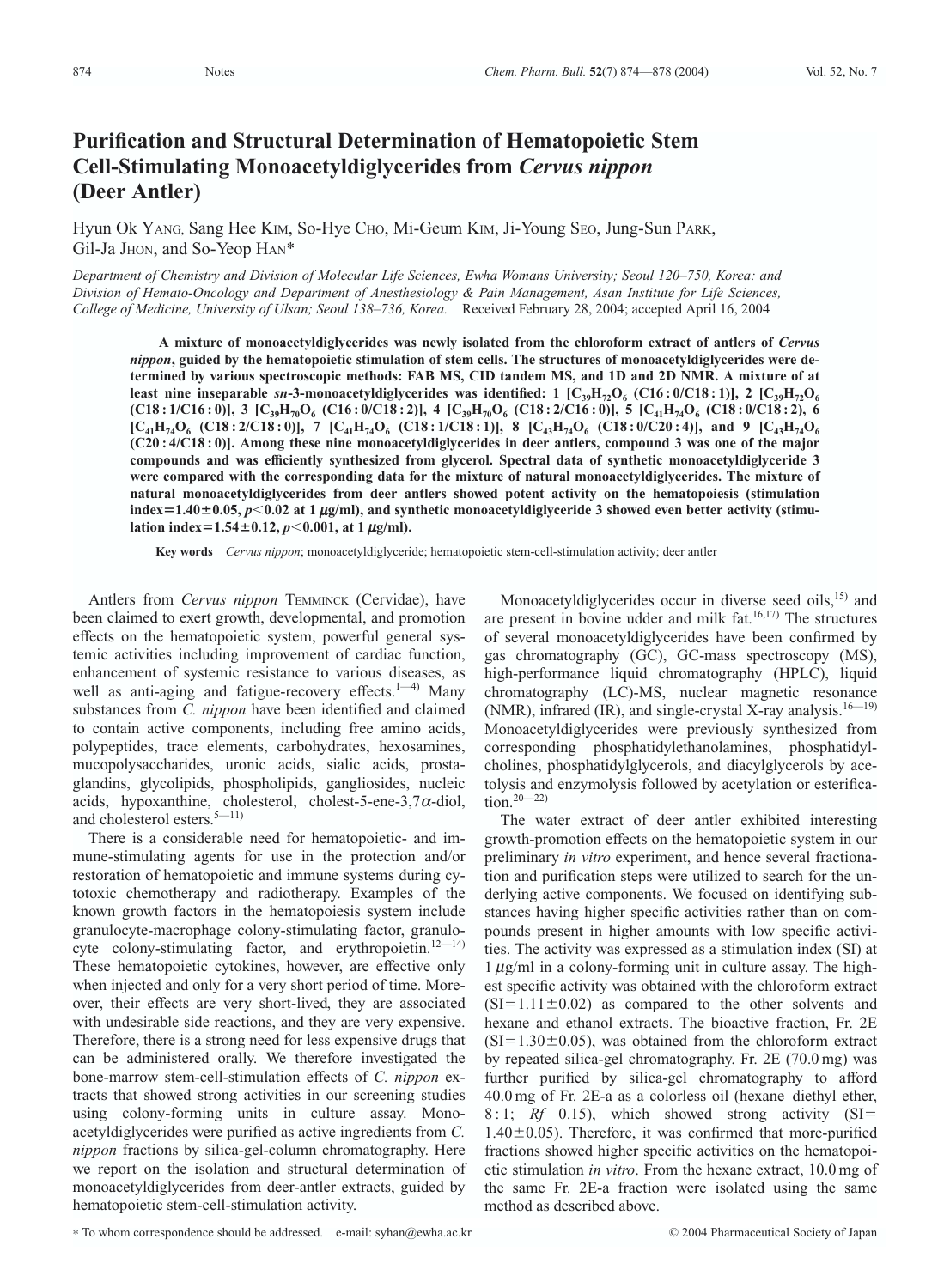## **Purification and Structural Determination of Hematopoietic Stem Cell-Stimulating Monoacetyldiglycerides from** *Cervus nippon* **(Deer Antler)**

Hyun Ok YANG, Sang Hee KIM, So-Hye CHO, Mi-Geum KIM, Ji-Young SEO, Jung-Sun PARK, Gil-Ja JHON, and So-Yeop HAN<sup>\*</sup>

*Department of Chemistry and Division of Molecular Life Sciences, Ewha Womans University; Seoul 120–750, Korea: and Division of Hemato-Oncology and Department of Anesthesiology & Pain Management, Asan Institute for Life Sciences, College of Medicine, University of Ulsan; Seoul 138–736, Korea.* Received February 28, 2004; accepted April 16, 2004

**A mixture of monoacetyldiglycerides was newly isolated from the chloroform extract of antlers of** *Cervus nippon***, guided by the hematopoietic stimulation of stem cells. The structures of monoacetyldiglycerides were determined by various spectroscopic methods: FAB MS, CID tandem MS, and 1D and 2D NMR. A mixture of at least nine inseparable**  $sn-3$ **-monoacetyldiglycerides was identified: 1**  $[C_{39}H_{72}O_6 (C16:0/C18:1)]$ **, 2**  $[C_{39}H_{72}O_6$ **(C18**: 1/C16: 0)], 3  $[C_{39}H_{70}O_6$  **(C16**: 0/C18: 2)], 4  $[C_{39}H_{70}O_6$  **(C18**: 2/C16: 0)], 5  $[C_{41}H_{74}O_6$  **(C18**: 0/C18: 2), 6  $[C_{41}H_{74}O_6 (C18:2/C18:0)],$  7  $[C_{41}H_{74}O_6 (C18:1/C18:1)],$  8  $[C_{43}H_{74}O_6 (C18:0/C20:4)],$  and 9  $[C_{43}H_{74}O_6 (C18:1/C18:1)(C18:1)(C18:1)(C18:1)(C18:1)(C18:1)(C18:1)(C18:1)(C18:1)(C18:1)(C18:1)(C18:1)(C18:1)(C18:1)(C18:1)(C18:1)(C18:1)(C18:1$ **(C20 : 4/C18 : 0)]. Among these nine monoacetyldiglycerides in deer antlers, compound 3 was one of the major compounds and was efficiently synthesized from glycerol. Spectral data of synthetic monoacetyldiglyceride 3 were compared with the corresponding data for the mixture of natural monoacetyldiglycerides. The mixture of natural monoacetyldiglycerides from deer antlers showed potent activity on the hematopoiesis (stimulation**  $index = 1.40 \pm 0.05$ ,  $p < 0.02$  at 1  $\mu$ g/ml), and synthetic monoacetyldiglyceride 3 showed even better activity (stimu $l$  ation index=1.54±0.12,  $p$ <0.001, at 1  $\mu$ g/ml).

**Key words** *Cervus nippon*; monoacetyldiglyceride; hematopoietic stem-cell-stimulation activity; deer antler

Antlers from *Cervus nippon* TEMMINCK (Cervidae), have been claimed to exert growth, developmental, and promotion effects on the hematopoietic system, powerful general systemic activities including improvement of cardiac function, enhancement of systemic resistance to various diseases, as well as anti-aging and fatigue-recovery effects. $1-4$ ) Many substances from *C. nippon* have been identified and claimed to contain active components, including free amino acids, polypeptides, trace elements, carbohydrates, hexosamines, mucopolysaccharides, uronic acids, sialic acids, prostaglandins, glycolipids, phospholipids, gangliosides, nucleic acids, hypoxanthine, cholesterol, cholest-5-ene-3,7 $\alpha$ -diol, and cholesterol esters.5—11)

There is a considerable need for hematopoietic- and immune-stimulating agents for use in the protection and/or restoration of hematopoietic and immune systems during cytotoxic chemotherapy and radiotherapy. Examples of the known growth factors in the hematopoiesis system include granulocyte-macrophage colony-stimulating factor, granulocyte colony-stimulating factor, and erythropoietin.<sup>12-14)</sup> These hematopoietic cytokines, however, are effective only when injected and only for a very short period of time. Moreover, their effects are very short-lived, they are associated with undesirable side reactions, and they are very expensive. Therefore, there is a strong need for less expensive drugs that can be administered orally. We therefore investigated the bone-marrow stem-cell-stimulation effects of *C. nippon* extracts that showed strong activities in our screening studies using colony-forming units in culture assay. Monoacetyldiglycerides were purified as active ingredients from *C. nippon* fractions by silica-gel-column chromatography. Here we report on the isolation and structural determination of monoacetyldiglycerides from deer-antler extracts, guided by hematopoietic stem-cell-stimulation activity.

Monoacetyldiglycerides occur in diverse seed oils, $^{15)}$  and are present in bovine udder and milk fat. $16,17)$  The structures of several monoacetyldiglycerides have been confirmed by gas chromatography (GC), GC-mass spectroscopy (MS), high-performance liquid chromatography (HPLC), liquid chromatography (LC)-MS, nuclear magnetic resonance (NMR), infrared (IR), and single-crystal X-ray analysis.<sup>16—19</sup>) Monoacetyldiglycerides were previously synthesized from corresponding phosphatidylethanolamines, phosphatidylcholines, phosphatidylglycerols, and diacylglycerols by acetolysis and enzymolysis followed by acetylation or esterification.20—22)

The water extract of deer antler exhibited interesting growth-promotion effects on the hematopoietic system in our preliminary *in vitro* experiment, and hence several fractionation and purification steps were utilized to search for the underlying active components. We focused on identifying substances having higher specific activities rather than on compounds present in higher amounts with low specific activities. The activity was expressed as a stimulation index (SI) at  $1 \mu g/ml$  in a colony-forming unit in culture assay. The highest specific activity was obtained with the chloroform extract  $(SI = 1.11 \pm 0.02)$  as compared to the other solvents and hexane and ethanol extracts. The bioactive fraction, Fr. 2E  $(SI = 1.30 \pm 0.05)$ , was obtained from the chloroform extract by repeated silica-gel chromatography. Fr. 2E (70.0 mg) was further purified by silica-gel chromatography to afford 40.0 mg of Fr. 2E-a as a colorless oil (hexane–diethyl ether, 8 : 1; *Rf* 0.15), which showed strong activity (SI  $1.40 \pm 0.05$ ). Therefore, it was confirmed that more-purified fractions showed higher specific activities on the hematopoietic stimulation *in vitro*. From the hexane extract, 10.0 mg of the same Fr. 2E-a fraction were isolated using the same method as described above.

*<sup>\*</sup>* To whom correspondence should be addressed. e-mail: syhan@ewha.ac.kr © 2004 Pharmaceutical Society of Japan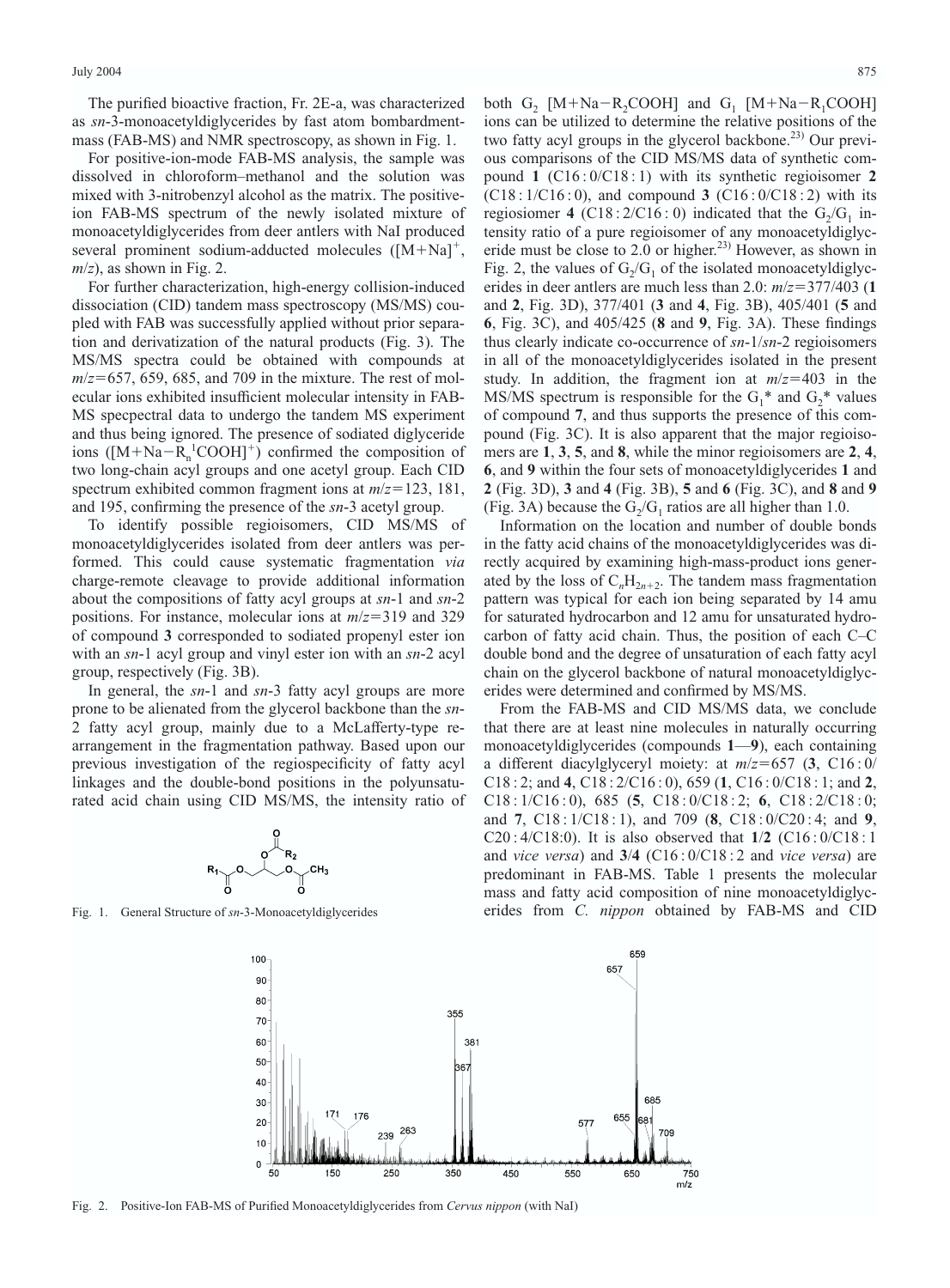The purified bioactive fraction, Fr. 2E-a, was characterized as *sn*-3-monoacetyldiglycerides by fast atom bombardmentmass (FAB-MS) and NMR spectroscopy, as shown in Fig. 1.

For positive-ion-mode FAB-MS analysis, the sample was dissolved in chloroform–methanol and the solution was mixed with 3-nitrobenzyl alcohol as the matrix. The positiveion FAB-MS spectrum of the newly isolated mixture of monoacetyldiglycerides from deer antlers with NaI produced several prominent sodium-adducted molecules  $([M+Na]^+,$  $m/z$ , as shown in Fig. 2.

For further characterization, high-energy collision-induced dissociation (CID) tandem mass spectroscopy (MS/MS) coupled with FAB was successfully applied without prior separation and derivatization of the natural products (Fig. 3). The MS/MS spectra could be obtained with compounds at  $m/z = 657$ , 659, 685, and 709 in the mixture. The rest of molecular ions exhibited insufficient molecular intensity in FAB-MS specpectral data to undergo the tandem MS experiment and thus being ignored. The presence of sodiated diglyceride ions ( $[M+Na-R_n^1COOH]^+$ ) confirmed the composition of two long-chain acyl groups and one acetyl group. Each CID spectrum exhibited common fragment ions at  $m/z = 123$ , 181, and 195, confirming the presence of the *sn*-3 acetyl group.

To identify possible regioisomers, CID MS/MS of monoacetyldiglycerides isolated from deer antlers was performed. This could cause systematic fragmentation *via* charge-remote cleavage to provide additional information about the compositions of fatty acyl groups at *sn*-1 and *sn*-2 positions. For instance, molecular ions at  $m/z = 319$  and 329 of compound **3** corresponded to sodiated propenyl ester ion with an *sn*-1 acyl group and vinyl ester ion with an *sn*-2 acyl group, respectively (Fig. 3B).

In general, the *sn*-1 and *sn*-3 fatty acyl groups are more prone to be alienated from the glycerol backbone than the *sn*-2 fatty acyl group, mainly due to a McLafferty-type rearrangement in the fragmentation pathway. Based upon our previous investigation of the regiospecificity of fatty acyl linkages and the double-bond positions in the polyunsaturated acid chain using CID MS/MS, the intensity ratio of



Fig. 1. General Structure of *sn*-3-Monoacetyldiglycerides

both  $G_2$  [M+Na-R<sub>2</sub>COOH] and  $G_1$  [M+Na-R<sub>1</sub>COOH] ions can be utilized to determine the relative positions of the two fatty acyl groups in the glycerol backbone.<sup>23)</sup> Our previous comparisons of the CID MS/MS data of synthetic compound **1** (C16 : 0/C18 : 1) with its synthetic regioisomer **2** (C18 : 1/C16 : 0), and compound **3** (C16 : 0/C18 : 2) with its regiosiomer 4 (C18 :  $2/C16:0$ ) indicated that the  $G_2/G_1$  intensity ratio of a pure regioisomer of any monoacetyldiglyceride must be close to 2.0 or higher.<sup>23)</sup> However, as shown in Fig. 2, the values of  $G_2/G_1$  of the isolated monoacetyldiglycerides in deer antlers are much less than 2.0:  $m/z = 377/403$  (1) and **2**, Fig. 3D), 377/401 (**3** and **4**, Fig. 3B), 405/401 (**5** and **6**, Fig. 3C), and 405/425 (**8** and **9**, Fig. 3A). These findings thus clearly indicate co-occurrence of *sn*-1/*sn*-2 regioisomers in all of the monoacetyldiglycerides isolated in the present study. In addition, the fragment ion at  $m/z = 403$  in the MS/MS spectrum is responsible for the  $G_1^*$  and  $G_2^*$  values of compound **7**, and thus supports the presence of this compound (Fig. 3C). It is also apparent that the major regioisomers are **1**, **3**, **5**, and **8**, while the minor regioisomers are **2**, **4**, **6**, and **9** within the four sets of monoacetyldiglycerides **1** and **2** (Fig. 3D), **3** and **4** (Fig. 3B), **5** and **6** (Fig. 3C), and **8** and **9** (Fig. 3A) because the  $G_2/G_1$  ratios are all higher than 1.0.

Information on the location and number of double bonds in the fatty acid chains of the monoacetyldiglycerides was directly acquired by examining high-mass-product ions generated by the loss of  $C_nH_{2n+2}$ . The tandem mass fragmentation pattern was typical for each ion being separated by 14 amu for saturated hydrocarbon and 12 amu for unsaturated hydrocarbon of fatty acid chain. Thus, the position of each C–C double bond and the degree of unsaturation of each fatty acyl chain on the glycerol backbone of natural monoacetyldiglycerides were determined and confirmed by MS/MS.

From the FAB-MS and CID MS/MS data, we conclude that there are at least nine molecules in naturally occurring monoacetyldiglycerides (compounds **1**—**9**), each containing a different diacylglyceryl moiety: at  $m/z = 657$  (3, C16:0/ C18 : 2; and **4**, C18 : 2/C16 : 0), 659 (**1**, C16 : 0/C18 : 1; and **2**, C18 : 1/C16 : 0), 685 (**5**, C18 : 0/C18 : 2; **6**, C18 : 2/C18 : 0; and **7**, C18 : 1/C18 : 1), and 709 (**8**, C18 : 0/C20 : 4; and **9**, C20 : 4/C18:0). It is also observed that **1**/**2** (C16 : 0/C18 : 1 and *vice versa*) and **3**/**4** (C16 : 0/C18 : 2 and *vice versa*) are predominant in FAB-MS. Table 1 presents the molecular mass and fatty acid composition of nine monoacetyldiglycerides from *C. nippon* obtained by FAB-MS and CID



Fig. 2. Positive-Ion FAB-MS of Purified Monoacetyldiglycerides from *Cervus nippon* (with NaI)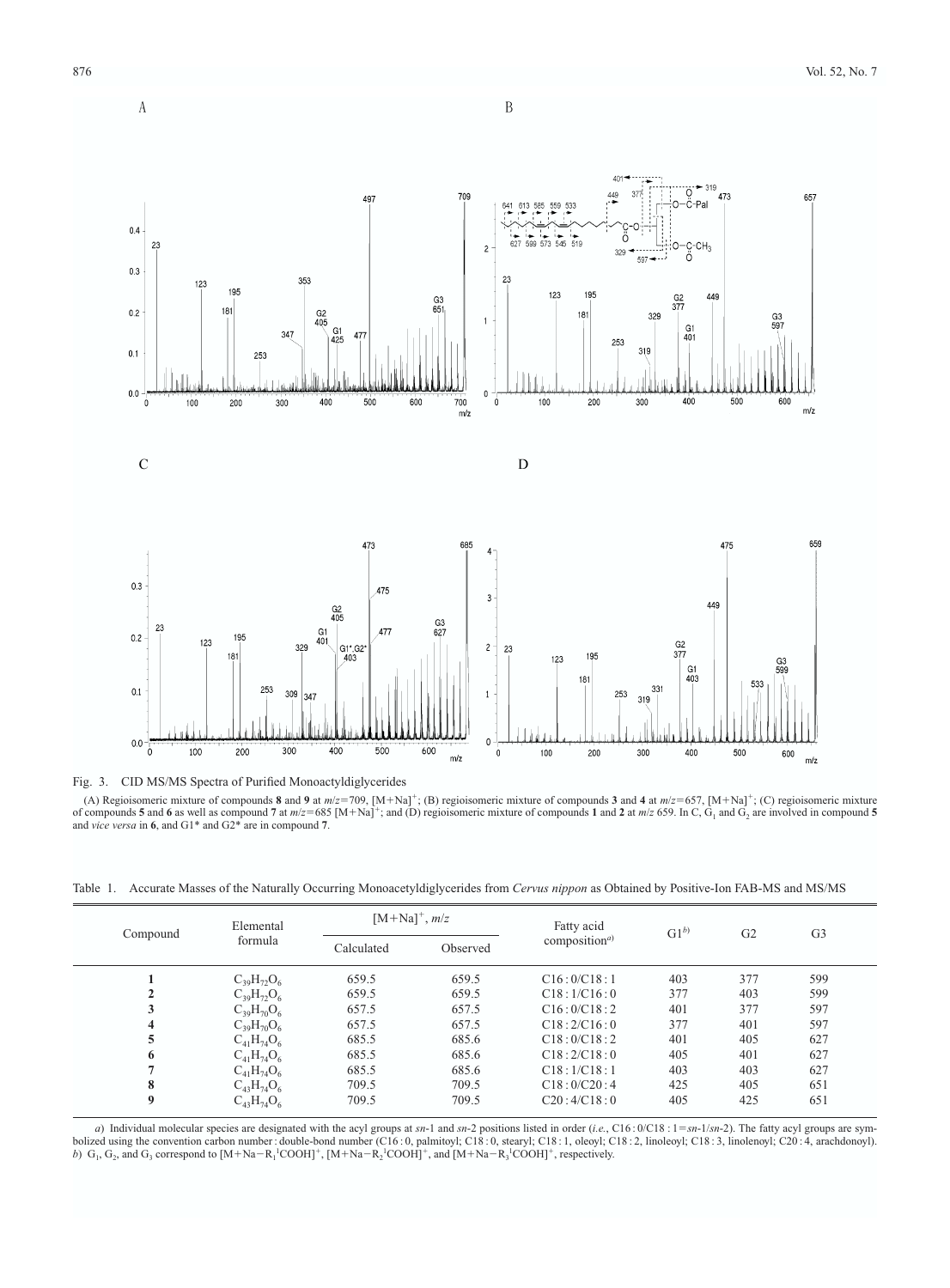



Fig. 3. CID MS/MS Spectra of Purified Monoactyldiglycerides

(A) Regioisomeric mixture of compounds  $\mathbf{8}$  and  $\mathbf{9}$  at  $m/z = 709$ ,  $[M + Na]^+$ ; (B) regioisomeric mixture of compounds  $\mathbf{3}$  and  $\mathbf{4}$  at  $m/z = 657$ ,  $[M + Na]^+$ ; (C) regioisomeric mixture of compounds 5 and 6 as well as compound 7 at  $m/z = 685$  [M+Na]<sup>+</sup>; and (D) regioisomeric mixture of compounds 1 and 2 at  $m/z$  659. In C, G<sub>1</sub> and G<sub>2</sub> are involved in compound 5 and *vice versa* in **6**, and G1\* and G2\* are in compound **7**.

Table 1. Accurate Masses of the Naturally Occurring Monoacetyldiglycerides from *Cervus nippon* as Obtained by Positive-Ion FAB-MS and MS/MS

| Compound         | Elemental<br>formula | $[M+Na]^+, m/z$ |          | Fatty acid                             | $G1^{b}$ | G <sub>2</sub> | G <sub>3</sub> |
|------------------|----------------------|-----------------|----------|----------------------------------------|----------|----------------|----------------|
|                  |                      | Calculated      | Observed | composition <sup><math>a)</math></sup> |          |                |                |
|                  | $C_{39}H_{72}O_6$    | 659.5           | 659.5    | C16:0/C18:1                            | 403      | 377            | 599            |
|                  | $C_{39}H_{72}O_6$    | 659.5           | 659.5    | C18:1/C16:0                            | 377      | 403            | 599            |
|                  | $C_{39}H_{70}O_6$    | 657.5           | 657.5    | C16:0/C18:2                            | 401      | 377            | 597            |
| 4                | $C_{39}H_{70}O_6$    | 657.5           | 657.5    | C18:2/C16:0                            | 377      | 401            | 597            |
|                  | $C_{41}H_{74}O_6$    | 685.5           | 685.6    | C18:0/C18:2                            | 401      | 405            | 627            |
| 6                | $C_{41}H_{74}O_6$    | 685.5           | 685.6    | C18:2/C18:0                            | 405      | 401            | 627            |
|                  | $C_{41}H_{74}O_6$    | 685.5           | 685.6    | C18:1/C18:1                            | 403      | 403            | 627            |
| 8                | $C_{43}H_{74}O_6$    | 709.5           | 709.5    | C18:0/C20:4                            | 425      | 405            | 651            |
| $\boldsymbol{Q}$ | $C_{43}H_{74}O_6$    | 709.5           | 709.5    | C20:4/C18:0                            | 405      | 425            | 651            |

*a*) Individual molecular species are designated with the acyl groups at *sn*-1 and *sn*-2 positions listed in order (*i.e.*, C16: 0/C18: 1 = sn-1/sn-2). The fatty acyl groups are symbolized using the convention carbon number: double-bond number (C16:0, palmitoyl; C18:0, stearyl; C18:1, oleoyl; C18:2, linoleoyl; C18:3, linolenoyl; C20:4, arachdonoyl).<br>b)  $G_1, G_2$ , and  $G_3$  correspond to [M+Na-R<sub>1</sub><sup>1</sup>

 $\rm A$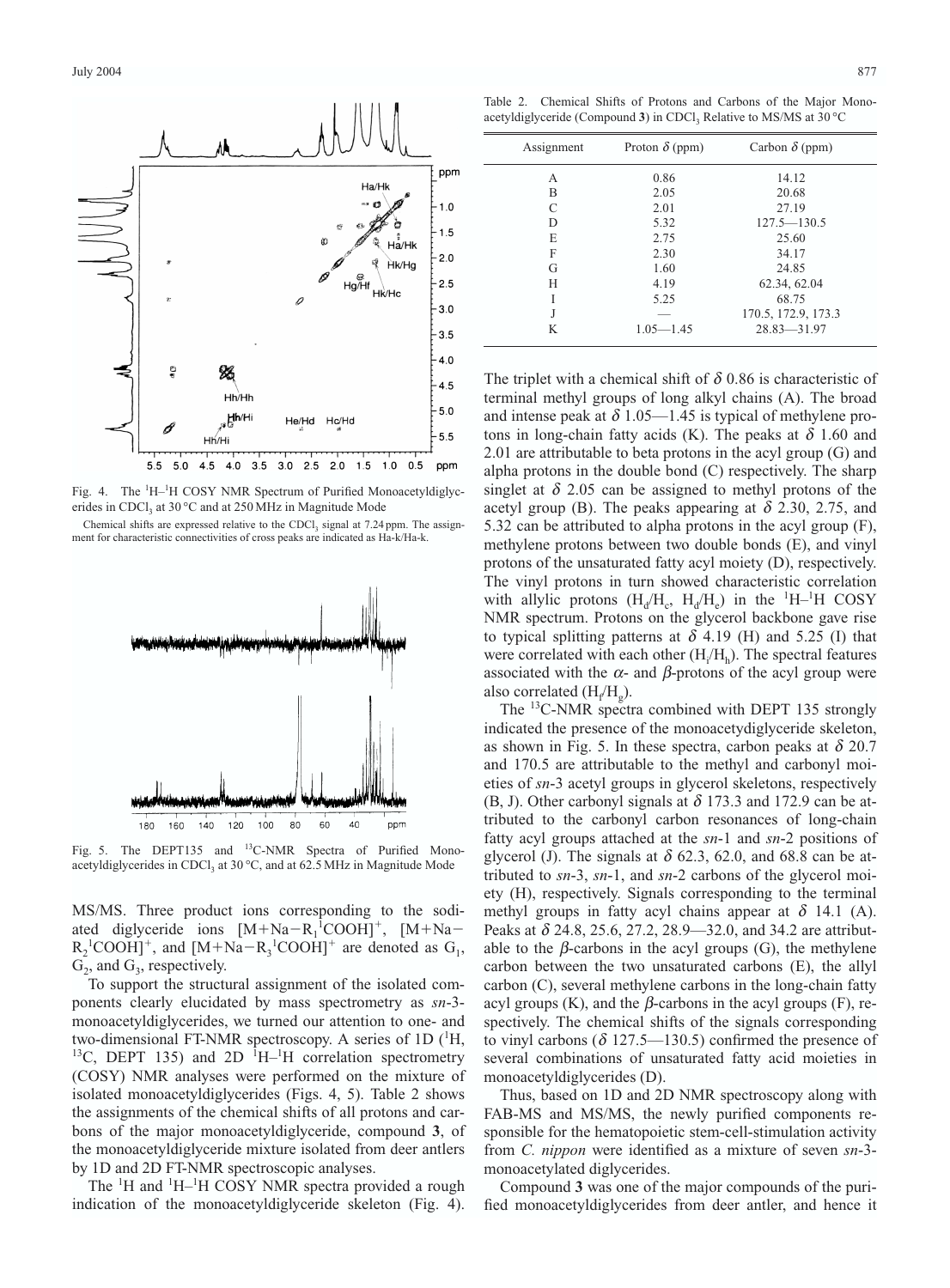

Fig. 4. The <sup>1</sup>H-<sup>1</sup>H COSY NMR Spectrum of Purified Monoacetyldiglycerides in CDCl<sub>2</sub> at 30 °C and at 250 MHz in Magnitude Mode

Chemical shifts are expressed relative to the CDCl<sub>3</sub> signal at  $7.24$  ppm. The assignment for characteristic connectivities of cross peaks are indicated as Ha-k/Ha-k.



Fig. 5. The DEPT135 and <sup>13</sup>C-NMR Spectra of Purified Monoacetyldiglycerides in CDCl<sub>3</sub> at 30 °C, and at 62.5 MHz in Magnitude Mode

MS/MS. Three product ions corresponding to the sodiated diglyceride ions  $[M+Na-R_1^ICOOH]^+$ ,  $[M+Na R_2$ <sup>1</sup>COOH]<sup>+</sup>, and [M+Na- $R_3$ <sup>1</sup>COOH]<sup>+</sup> are denoted as  $G_1$ ,  $G_2$ , and  $G_3$ , respectively.

To support the structural assignment of the isolated components clearly elucidated by mass spectrometry as *sn*-3 monoacetyldiglycerides, we turned our attention to one- and two-dimensional FT-NMR spectroscopy. A series of 1D  $(^{1}H,$ <sup>13</sup>C, DEPT 135) and 2D <sup>1</sup>H<sup>-1</sup>H correlation spectrometry (COSY) NMR analyses were performed on the mixture of isolated monoacetyldiglycerides (Figs. 4, 5). Table 2 shows the assignments of the chemical shifts of all protons and carbons of the major monoacetyldiglyceride, compound **3**, of the monoacetyldiglyceride mixture isolated from deer antlers by 1D and 2D FT-NMR spectroscopic analyses.

The <sup>1</sup>H and <sup>1</sup>H-<sup>1</sup>H COSY NMR spectra provided a rough indication of the monoacetyldiglyceride skeleton (Fig. 4).

Table 2. Chemical Shifts of Protons and Carbons of the Major Monoacetyldiglyceride (Compound  $3$ ) in CDCl<sub>3</sub> Relative to MS/MS at  $30^{\circ}$ C

| Assignment | Proton $\delta$ (ppm) | Carbon $\delta$ (ppm) |
|------------|-----------------------|-----------------------|
| A          | 0.86                  | 14.12                 |
| B          | 2.05                  | 20.68                 |
| C          | 2.01                  | 27.19                 |
| D          | 5.32                  | $127.5 - 130.5$       |
| Е          | 2.75                  | 25.60                 |
| F          | 2.30                  | 34.17                 |
| G          | 1.60                  | 24.85                 |
| H          | 4.19                  | 62.34, 62.04          |
| I          | 5.25                  | 68.75                 |
| J          | _                     | 170.5, 172.9, 173.3   |
| K          | $1.05 - 1.45$         | $28.83 - 31.97$       |

The triplet with a chemical shift of  $\delta$  0.86 is characteristic of terminal methyl groups of long alkyl chains (A). The broad and intense peak at  $\delta$  1.05—1.45 is typical of methylene protons in long-chain fatty acids (K). The peaks at  $\delta$  1.60 and 2.01 are attributable to beta protons in the acyl group (G) and alpha protons in the double bond (C) respectively. The sharp singlet at  $\delta$  2.05 can be assigned to methyl protons of the acetyl group (B). The peaks appearing at  $\delta$  2.30, 2.75, and 5.32 can be attributed to alpha protons in the acyl group (F), methylene protons between two double bonds (E), and vinyl protons of the unsaturated fatty acyl moiety (D), respectively. The vinyl protons in turn showed characteristic correlation with allylic protons  $(H_d/H_c, H_d/H_e)$  in the <sup>1</sup>H-<sup>1</sup>H COSY NMR spectrum. Protons on the glycerol backbone gave rise to typical splitting patterns at  $\delta$  4.19 (H) and 5.25 (I) that were correlated with each other  $(H_i/H_h)$ . The spectral features associated with the  $\alpha$ - and  $\beta$ -protons of the acyl group were also correlated  $(H_f/H_g)$ .

The <sup>13</sup>C-NMR spectra combined with DEPT 135 strongly indicated the presence of the monoacetydiglyceride skeleton, as shown in Fig. 5. In these spectra, carbon peaks at  $\delta$  20.7 and 170.5 are attributable to the methyl and carbonyl moieties of *sn*-3 acetyl groups in glycerol skeletons, respectively (B, J). Other carbonyl signals at  $\delta$  173.3 and 172.9 can be attributed to the carbonyl carbon resonances of long-chain fatty acyl groups attached at the *sn*-1 and *sn*-2 positions of glycerol (J). The signals at  $\delta$  62.3, 62.0, and 68.8 can be attributed to *sn*-3, *sn*-1, and *sn*-2 carbons of the glycerol moiety (H), respectively. Signals corresponding to the terminal methyl groups in fatty acyl chains appear at  $\delta$  14.1 (A). Peaks at  $\delta$  24.8, 25.6, 27.2, 28.9–32.0, and 34.2 are attributable to the  $\beta$ -carbons in the acyl groups (G), the methylene carbon between the two unsaturated carbons (E), the allyl carbon (C), several methylene carbons in the long-chain fatty acyl groups  $(K)$ , and the  $\beta$ -carbons in the acyl groups  $(F)$ , respectively. The chemical shifts of the signals corresponding to vinyl carbons ( $\delta$  127.5—130.5) confirmed the presence of several combinations of unsaturated fatty acid moieties in monoacetyldiglycerides (D).

Thus, based on 1D and 2D NMR spectroscopy along with FAB-MS and MS/MS, the newly purified components responsible for the hematopoietic stem-cell-stimulation activity from *C. nippon* were identified as a mixture of seven *sn*-3 monoacetylated diglycerides.

Compound **3** was one of the major compounds of the purified monoacetyldiglycerides from deer antler, and hence it